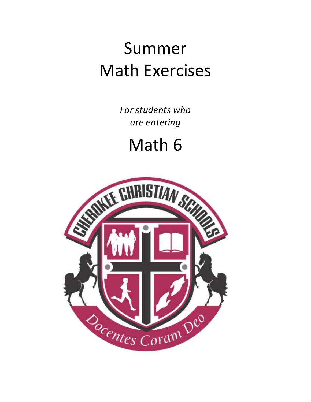## Summer Math Exercises

*For students who are entering*

Math 6

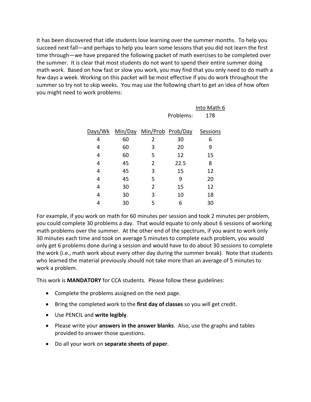It has been discovered that idle students lose learning over the summer months. To help you succeed next fall—and perhaps to help you learn some lessons that you did not learn the first time through—we have prepared the following packet of math exercises to be completed over the summer. It is clear that most students do not want to spend their entire summer doing math work. Based on how fast or slow you work, you may find that you only need to do math a few days a week. Working on this packet will be most effective if you do work throughout the summer so try not to skip weeks. You may use the following chart to get an idea of how often you might need to work problems:

|         |    |                           |           | Into Math 6 |
|---------|----|---------------------------|-----------|-------------|
|         |    |                           | Problems: | 178         |
|         |    |                           |           |             |
| Days/Wk |    | Min/Day Min/Prob Prob/Day |           | Sessions    |
| 4       | 60 | 2                         | 30        | 6           |
| 4       | 60 | 3                         | 20        | 9           |
| 4       | 60 | 5                         | 12        | 15          |
| 4       | 45 | 2                         | 22.5      | 8           |
| 4       | 45 | 3                         | 15        | 12          |
| 4       | 45 | 5                         | 9         | 20          |
| 4       | 30 | 2                         | 15        | 12          |
| 4       | 30 | 3                         | 10        | 18          |
|         | 30 | 5                         | 6         | 30          |
|         |    |                           |           |             |

For example, if you work on math for 60 minutes per session and took 2 minutes per problem, you could complete 30 problems a day. That would equate to only about 6 sessions of working math problems over the summer. At the other end of the spectrum, if you want to work only 30 minutes each time and took on average 5 minutes to complete each problem, you would only get 6 problems done during a session and would have to do about 30 sessions to complete the work (i.e., math work about every other day during the summer break). Note that students who learned the material previously should not take more than an average of 5 minutes to work a problem.

This work is **MANDATORY** for CCA students. Please follow these guidelines:

- Complete the problems assigned on the next page.
- Bring the completed work to the **first day of classes** so you will get credit.
- Use PENCIL and **write legibly**.
- Please write your **answers in the answer blanks**. Also, use the graphs and tables provided to answer those questions.
- Do all your work on **separate sheets of paper**.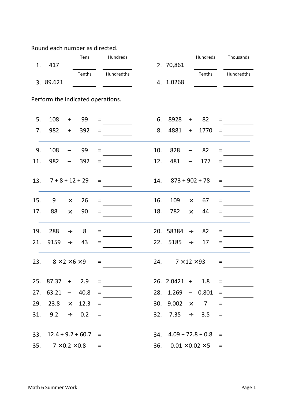Round each number as directed.

|     |                                   |                  | Tens   |                 | Hundreds   |     |                             |                   | Hundreds       |                   | Thousands  |
|-----|-----------------------------------|------------------|--------|-----------------|------------|-----|-----------------------------|-------------------|----------------|-------------------|------------|
| 1.  | 417                               |                  | Tenths |                 | Hundredths |     | 2. 70,861                   |                   | Tenths         |                   | Hundredths |
|     | 3. 89.621                         |                  |        |                 |            |     | 4. 1.0268                   |                   |                |                   |            |
|     | Perform the indicated operations. |                  |        |                 |            |     |                             |                   |                |                   |            |
| 5.  | 108                               | $\boldsymbol{+}$ | 99     | Ξ               |            | 6.  | 8928                        | $\ddot{}$         | 82             | $=$               |            |
| 7.  | 982                               | $\ddot{}$        | 392    | Ξ               |            | 8.  | 4881                        | $+$               | 1770           | $=$               |            |
| 9.  | 108                               |                  | 99     | $\equiv$        |            | 10. | 828                         |                   | 82             | $\qquad \qquad =$ |            |
| 11. | 982                               |                  | 392    | $=$             |            | 12. | 481                         |                   | 177            | $=$               |            |
| 13. | $7 + 8 + 12 + 29$                 |                  |        | $=$             |            | 14. | $873 + 902 + 78$            |                   |                | $=$               |            |
| 15. | 9                                 | $\times$         | 26     | $=$             |            | 16. | 109                         | $\times$          | 67             | $=$               |            |
| 17. | 88                                | $\times$         | 90     | Ξ               |            | 18. | 782                         | $\times$          | 44             | $=$               |            |
| 19. | 288                               | $\div$           | 8      | $=$             |            | 20. | 58384                       | $\div$            | 82             | $=$               |            |
| 21. | 9159                              | $\div$           | 43     | Ξ               |            | 22. | 5185                        | $\div$            | 17             | $=$               |            |
| 23. | $8 \times 2 \times 6 \times 9$    |                  |        | $=$             |            | 24. | $7 \times 12 \times 93$     |                   |                | $\quad \  \  =$   |            |
| 25. | 87.37                             | $\pm$            | 2.9    | $=$             |            |     | $26. 2.0421 +$              |                   | 1.8            | $=$               |            |
| 27. | 63.21                             |                  | 40.8   | $\equiv$        |            | 28. | 1.269                       | $\qquad \qquad -$ | 0.801          | $\qquad \qquad =$ |            |
| 29. | 23.8                              | $\times$         | 12.3   | $\quad \  \  =$ |            | 30. | 9.002                       | $\times$          | $\overline{7}$ | $=$               |            |
| 31. | 9.2                               | $\div$           | 0.2    | $=$             |            | 32. | 7.35                        | $\div$            | 3.5            | $=$               |            |
|     |                                   |                  |        |                 |            |     |                             |                   |                |                   |            |
| 33. | $12.4 + 9.2 + 60.7$               |                  |        | $=$             |            | 34. | $4.09 + 72.8 + 0.8$         |                   |                | $=$               |            |
| 35. | $7 \times 0.2 \times 0.8$         |                  |        | $=$             |            | 36. | $0.01 \times 0.02 \times 5$ |                   |                | $=$               |            |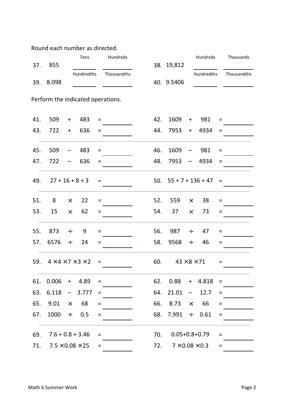Round each number as directed.

| 37. | 855                               |                                  | Tens                                    |           | Hundreds    |     | 38. 19,812 |           | Hundreds                   |          | Thousands   |
|-----|-----------------------------------|----------------------------------|-----------------------------------------|-----------|-------------|-----|------------|-----------|----------------------------|----------|-------------|
|     |                                   |                                  | Hundredths                              |           | Thousandths |     |            |           | Hundredths                 |          | Thousandths |
| 39. | 8.098                             |                                  |                                         |           |             |     | 40. 9.5406 |           |                            |          |             |
|     | Perform the indicated operations. |                                  |                                         |           |             |     |            |           |                            |          |             |
| 41. | 509                               | $\begin{array}{c} + \end{array}$ | 483                                     | $=$       |             | 42. | 1609       | $\ddot{}$ | 981                        | $=$      |             |
| 43. | 722                               | $\begin{array}{c} + \end{array}$ | 636                                     | $=$       |             | 44. | 7953       | $+$       | 4934                       | $=$      |             |
| 45. | 509                               |                                  | 483                                     | $=$       |             | 46. | 1609       |           | 981                        | $=$      |             |
| 47. | 722                               |                                  | 636                                     | Ξ         |             | 48. | 7953       | —         | 4934                       | $=$      |             |
| 49. |                                   |                                  | $27 + 16 + 8 + 3$                       | $=$       |             | 50. |            |           | $55 + 7 + 136 + 47$        | $\equiv$ |             |
| 51. | 8                                 | $\times$                         | 22                                      | $=$       |             | 52. | 559        | $\times$  | 38                         | Ξ        |             |
| 53. | 15                                | $\times$                         | 62                                      | Ξ         |             | 54. | 37         | $\times$  | 73                         | $=$      |             |
| 55. | 873                               | $\div$                           | 9                                       | Ξ         |             | 56. | 987        | $\div$    | 47                         | $=$      |             |
| 57. | 6576                              | $\div$                           | 24                                      | Ξ         |             | 58. | 9568       | $\div$    | 46                         | $=$      |             |
| 59. |                                   |                                  | $4 \times 4 \times 7 \times 3 \times 2$ | $\equiv$  |             | 60. |            |           | $43 \times 8 \times 71$    | $=$      |             |
| 61. | 0.006                             | $+$                              | 4.89                                    | $=$       |             | 62. | 0.88       | $+$       | 4.818                      | $=$      |             |
| 63. | 6.118                             |                                  | 3.777                                   | $=$       |             | 64. | 21.01      | -         | 12.7                       | $=$      |             |
| 65. | 9.01                              | $\times$                         | 68                                      | Ξ         |             | 66. | 8.73       | $\times$  | 66                         | $=$      |             |
| 67. | 1000                              | $\div$                           | 0.5                                     | $=$       |             | 68. | 7.991      | $\div$    | 0.61                       | $=$      |             |
|     |                                   |                                  |                                         |           |             |     |            |           |                            |          |             |
| 69. |                                   |                                  | $7.6 + 0.8 + 3.46$                      | Ξ         |             | 70. |            |           | $0.05 + 0.8 + 0.79$        | Ξ        |             |
| 71. |                                   |                                  | $7.5 \times 0.08 \times 25$             | $\quad =$ |             | 72. |            |           | $7 \times 0.08 \times 0.3$ | $=$      |             |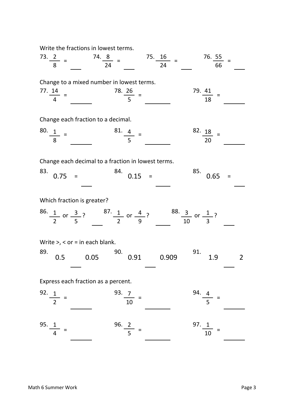Write the fractions in lowest terms.

73. 2 74. 8 75. 16 76. 55 8 24 24 66 Change to a mixed number in lowest terms. 77. 14 78. 26 79. 41 4 5 18 Change each fraction to a decimal. 80. 1 and 1 81. 4 and 1 82. 18 8 20 Change each decimal to a fraction in lowest terms. 83. <sub>3 8</sub> 84. <sub>3 8</sub> 85. <sub>2 8</sub> 85. 4 20 20 Which fraction is greater? 86. 1 a 3 3 87. 1 a 4 3 88. 3 a 1 3 2 5 5 2 9 2 10 3 3 Write  $>$ ,  $<$  or = in each blank. 89. 90. 91. Express each fraction as a percent. 92. 1 93. 7 94. 4 2 10 5 95. 1 96. 2 97. 1  $\frac{1}{4}$  =  $\frac{50.2}{5}$  =  $\frac{1}{10}$  =  $\frac{92.1}{2} = \frac{93.7}{10} = \frac{94.4}{5} =$  $0.05$   $0.91$   $0.909$   $1.9$   $1.9$   $2$ or  $\frac{3}{2}$ ?  $\frac{0.1}{1}$  or  $\frac{4}{2}$ ?  $\frac{0.3}{1}$  or  $\frac{1}{2}$ ? 0.5  $0.75 = 84.$   $0.15 = 85.$  $0.65 =$  $\frac{0.12}{4}$  =  $\frac{0.22}{10}$  = =  $=$   $\frac{20}{5}$  =  $\frac{19.41}{19}$  =  $73. \frac{2}{8} = 74. \frac{8}{24} =$  $\frac{80}{8}$  =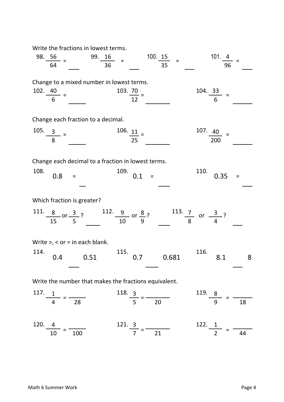Write the fractions in lowest terms.

| 98. $\frac{56}{100}$ =<br>99. $16 =$<br>64                                                                          | 100. 15<br>$=$<br>36<br>35      | 101.4<br>96                      |
|---------------------------------------------------------------------------------------------------------------------|---------------------------------|----------------------------------|
| Change to a mixed number in lowest terms.<br>102. $\frac{40}{6}$ =                                                  | $\frac{103.70}{12}$ =           | $\frac{104.33}{6}$               |
| Change each fraction to a decimal.                                                                                  |                                 |                                  |
| 105.<br>$\frac{3}{8}$ =                                                                                             | $\frac{106.11}{25}$ =           | 107. 40<br>200                   |
| Change each decimal to a fraction in lowest terms.<br>108.<br>0.8<br>$=$                                            | 109.<br>0.1<br>$\equiv$         | 110.<br>0.35<br>$=$              |
| Which fraction is greater?                                                                                          |                                 |                                  |
| 111. $\frac{8}{15}$ or $\frac{3}{5}$ ? 112. $\frac{9}{10}$ or $\frac{8}{9}$ ? 113. $\frac{7}{8}$ or $\frac{3}{4}$ ? |                                 |                                  |
| Write $>$ , < or = in each blank.                                                                                   |                                 |                                  |
| 114.<br>0.51<br>0.4                                                                                                 | 115.<br>0.681<br>0.7            | 116.<br>8<br>8.1                 |
| Write the number that makes the fractions equivalent.                                                               |                                 |                                  |
| 117.<br>$\frac{1}{4}$ = $\frac{1}{28}$                                                                              | $\frac{118.}{5} = \frac{3}{20}$ | $\frac{119.8}{9} = \frac{8}{18}$ |
| 120.<br>4                                                                                                           | 121. 3                          | 122. 1                           |
| 10<br>100                                                                                                           | 21                              | 44                               |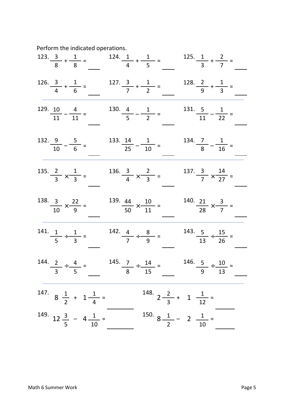Perform the indicated operations.

|                                          |                                                                       |                                         |                                      | 123. $\frac{3}{8} + \frac{1}{8} =$ 124. $\frac{1}{4} + \frac{1}{5} =$ 125. $\frac{1}{3} + \frac{2}{7} =$ |                                           |  |
|------------------------------------------|-----------------------------------------------------------------------|-----------------------------------------|--------------------------------------|----------------------------------------------------------------------------------------------------------|-------------------------------------------|--|
|                                          | 126. $\frac{3}{4} + \frac{1}{6} =$ 127. $\frac{3}{7} + \frac{1}{2} =$ |                                         |                                      |                                                                                                          | 128. $\frac{2}{9} + \frac{1}{3} =$        |  |
| $\frac{129}{11} - \frac{4}{11} =$        |                                                                       |                                         | $\frac{130}{5} - \frac{1}{2} =$      |                                                                                                          | $\frac{131.5}{11} - \frac{1}{22} =$       |  |
| $\frac{132.9}{10} - \frac{5}{6} =$       |                                                                       |                                         | $\frac{133.14}{25} - \frac{1}{10} =$ |                                                                                                          | $\frac{134.7}{8} - \frac{1}{16} =$        |  |
| 135. $\frac{2}{3} \times \frac{1}{3}$    |                                                                       | 136. $\frac{3}{4} \times \frac{2}{3}$   |                                      |                                                                                                          | 137. $\frac{3}{7} \times \frac{14}{27} =$ |  |
| $\frac{138.3}{10} \times \frac{22}{9} =$ |                                                                       | $\frac{139}{50} \times \frac{10}{11} =$ |                                      |                                                                                                          | $\frac{140}{28} \times \frac{3}{7} =$     |  |
| 141. $\frac{1}{5} \div \frac{1}{3} =$    |                                                                       | 142. $\frac{4}{7} \div \frac{8}{9} =$   |                                      |                                                                                                          | $\frac{143.5}{13} \div \frac{15}{26} =$   |  |
|                                          |                                                                       |                                         |                                      | 144. $\frac{2}{3} \div \frac{4}{5} =$ 145. $\frac{7}{8} \div \frac{14}{15} =$                            | $\frac{146}{9} \div \frac{10}{13} =$      |  |
|                                          | 147. $8\frac{1}{2} + 1\frac{1}{4} =$                                  |                                         |                                      | 148. $2\frac{2}{3}$ + 1 $\frac{1}{12}$ =                                                                 |                                           |  |
|                                          | 149. $12\frac{3}{5}$ - $4\frac{1}{10}$ =                              |                                         |                                      | 150. $8\frac{1}{2}$ - 2 $\frac{1}{10}$ =                                                                 |                                           |  |